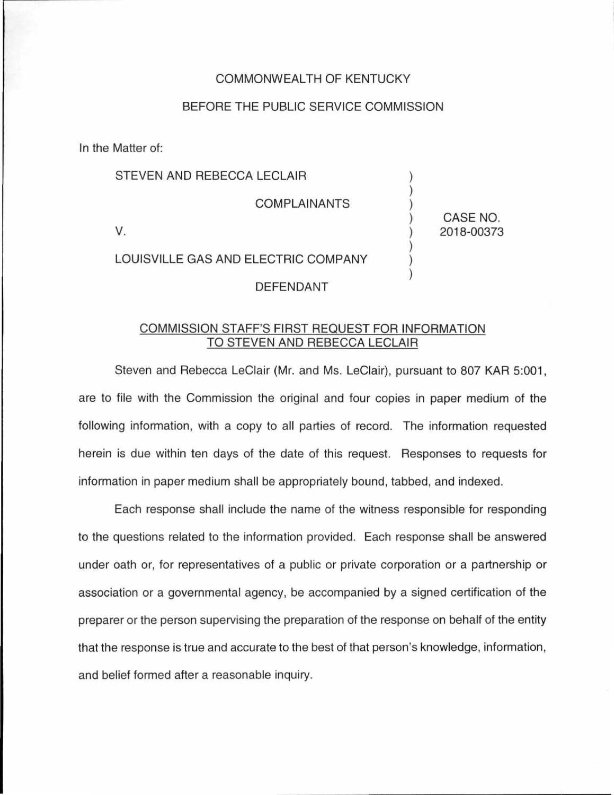### COMMONWEALTH OF KENTUCKY

## BEFORE THE PUBLIC SERVICE COMMISSION

In the Matter of:

## STEVEN AND REBECCA LECLAIR

COMPLAINANTS

v.

LOUISVILLE GAS AND ELECTRIC COMPANY

#### DEFENDANT

# COMMISSION STAFF'S FIRST REQUEST FOR INFORMATION TO STEVEN AND REBECCA LECLAIR

Steven and Rebecca LeClair (Mr. and Ms. LeClair), pursuant to 807 KAR 5:001, are to file with the Commission the original and four copies in paper medium of the following information, with a copy to all parties of record. The information requested herein is due within ten days of the date of this request. Responses to requests for information in paper medium shall be appropriately bound, tabbed, and indexed.

Each response shall include the name of the witness responsible for responding to the questions related to the information provided. Each response shall be answered under oath or, for representatives of a public or private corporation or a partnership or association or a governmental agency, be accompanied by a signed certification of the preparer or the person supervising the preparation of the response on behalf of the entity that the response is true and accurate to the best of that person's knowledge, information, and belief formed after a reasonable inquiry.

CASE NO. 2018-00373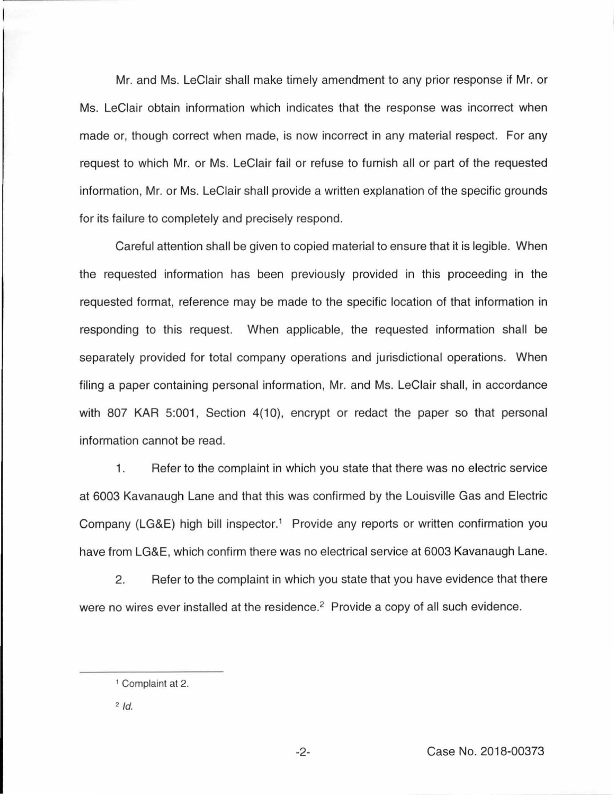Mr. and Ms. LeClair shall make timely amendment to any prior response if Mr. or Ms. LeClair obtain information which indicates that the response was incorrect when made or, though correct when made, is now incorrect in any material respect. For any request to which Mr. or Ms. LeClair fail or refuse to furnish all or part of the requested information, Mr. or Ms. LeClair shall provide a written explanation of the specific grounds for its failure to completely and precisely respond.

Careful attention shall be given to copied material to ensure that it is legible. When the requested information has been previously provided in this proceeding in the requested format, reference may be made to the specific location of that information in responding to this request. When applicable, the requested information shall be separately provided for total company operations and jurisdictional operations. When filing a paper containing personal information, Mr. and Ms. LeClair shall, in accordance with 807 KAR 5:001, Section 4(10), encrypt or redact the paper so that personal information cannot be read.

1. Refer to the complaint in which you state that there was no electric service at 6003 Kavanaugh Lane and that this was confirmed by the Louisville Gas and Electric Company (LG&E) high bill inspector.<sup>1</sup> Provide any reports or written confirmation you have from LG&E, which confirm there was no electrical service at 6003 Kavanaugh Lane.

2. Refer to the complaint in which you state that you have evidence that there were no wires ever installed at the residence.<sup>2</sup> Provide a copy of all such evidence.

<sup>&</sup>lt;sup>1</sup> Complaint at 2.

 $2$   $Id$ .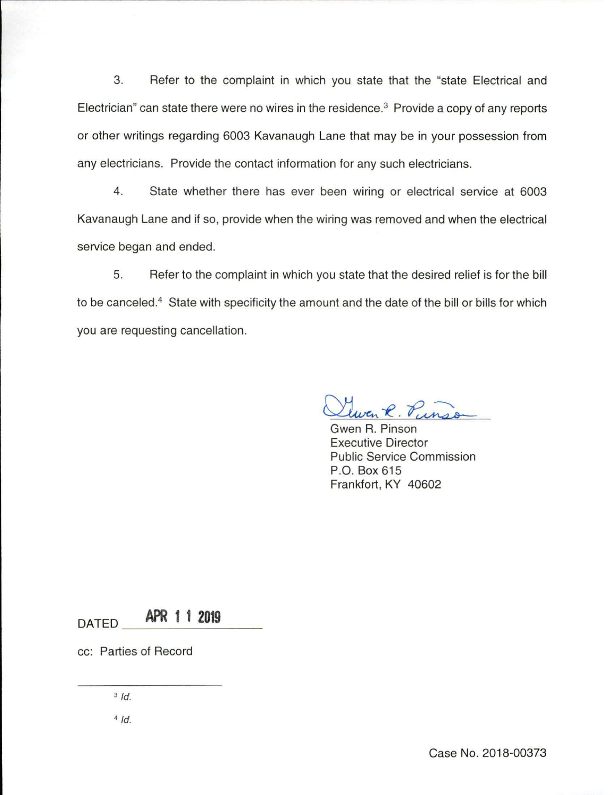3. Refer to the complaint in which you state that the "state Electrical and Electrician" can state there were no wires in the residence.<sup>3</sup> Provide a copy of any reports or other writings regarding 6003 Kavanaugh Lane that may be in your possession from any electricians. Provide the contact information for any such electricians.

4. State whether there has ever been wiring or electrical service at 6003 Kavanaugh Lane and if so, provide when the wiring was removed and when the electrical service began and ended.

5. Refer to the complaint in which you state that the desired relief is for the bill to be canceled.<sup>4</sup> State with specificity the amount and the date of the bill or bills for which you are requesting cancellation.

<u>Llwen R. Pun</u>

Executive Director Public Service Commission P.O. Box 615 Frankfort, KY 40602

 $\overline{DATED}$  **APR 1 1 2019** 

cc: Parties of Record

 $3/d$ .

 $4/d$ .